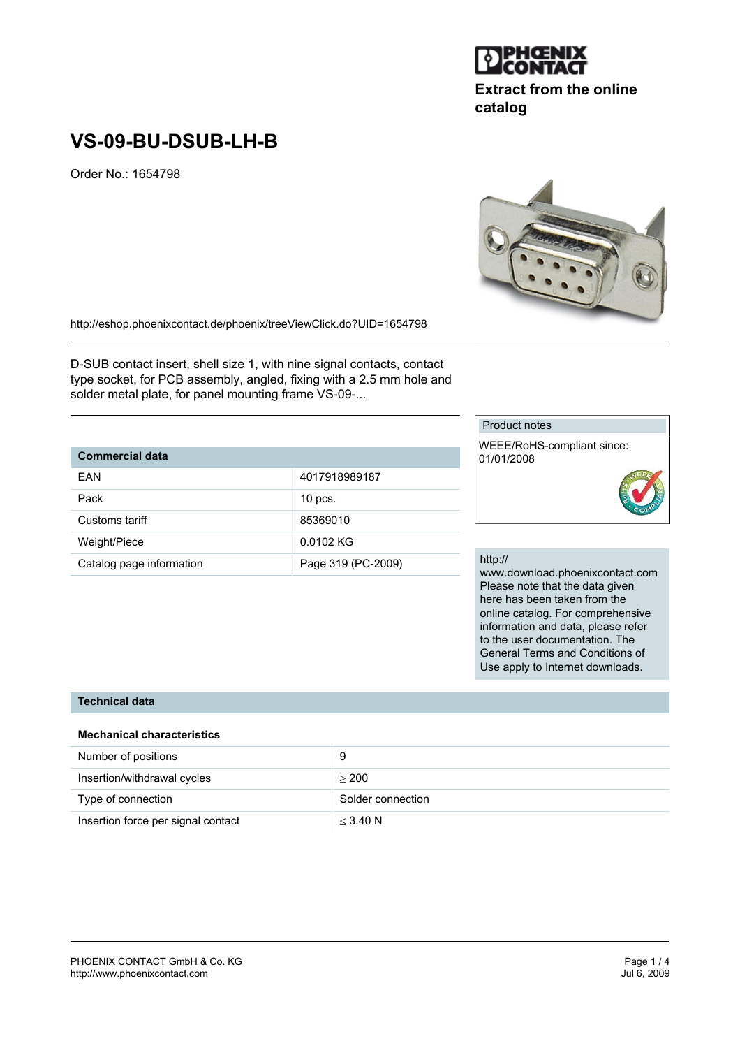# **VS-09-BU-DSUB-LH-B**

Order No.: 1654798

http://eshop.phoenixcontact.de/phoenix/treeViewClick.do?UID=1654798

D-SUB contact insert, shell size 1, with nine signal contacts, contact type socket, for PCB assembly, angled, fixing with a 2.5 mm hole and solder metal plate, for panel mounting frame VS-09-...

## **Commercial data**

| FAN                      | 4017918989187      |
|--------------------------|--------------------|
| Pack                     | $10$ pcs.          |
| Customs tariff           | 85369010           |
| Weight/Piece             | 0.0102 KG          |
| Catalog page information | Page 319 (PC-2009) |

#### Product notes

WEEE/RoHS-compliant since: 01/01/2008



#### http://

www.download.phoenixcontact.com Please note that the data given here has been taken from the online catalog. For comprehensive information and data, please refer to the user documentation. The General Terms and Conditions of Use apply to Internet downloads.

## **Technical data**

### **Mechanical characteristics**

| Number of positions                |                   |
|------------------------------------|-------------------|
| Insertion/withdrawal cycles        | > 200             |
| Type of connection                 | Solder connection |
| Insertion force per signal contact | $<$ 3.40 N        |



**Extract from the online**

**DEHGNIX** 

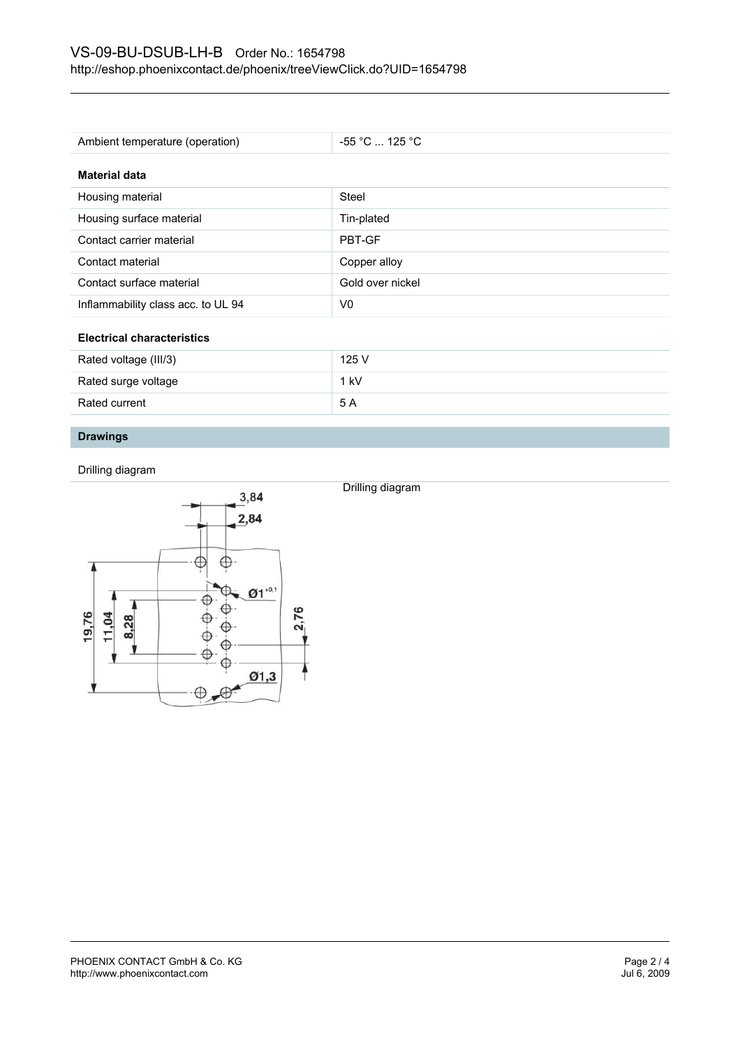| Ambient temperature (operation)    | $-55$ °C  125 °C |  |
|------------------------------------|------------------|--|
| <b>Material data</b>               |                  |  |
| Housing material                   | Steel            |  |
| Housing surface material           | Tin-plated       |  |
| Contact carrier material           | PBT-GF           |  |
| Contact material                   | Copper alloy     |  |
| Contact surface material           | Gold over nickel |  |
| Inflammability class acc. to UL 94 | V <sub>0</sub>   |  |
| <b>Electrical characteristics</b>  |                  |  |

| Rated voltage (III/3) | 125 V  |
|-----------------------|--------|
| Rated surge voltage   | $1$ kV |
| Rated current         | -5 A   |
|                       |        |

Drilling diagram

# **Drawings**

Drilling diagram

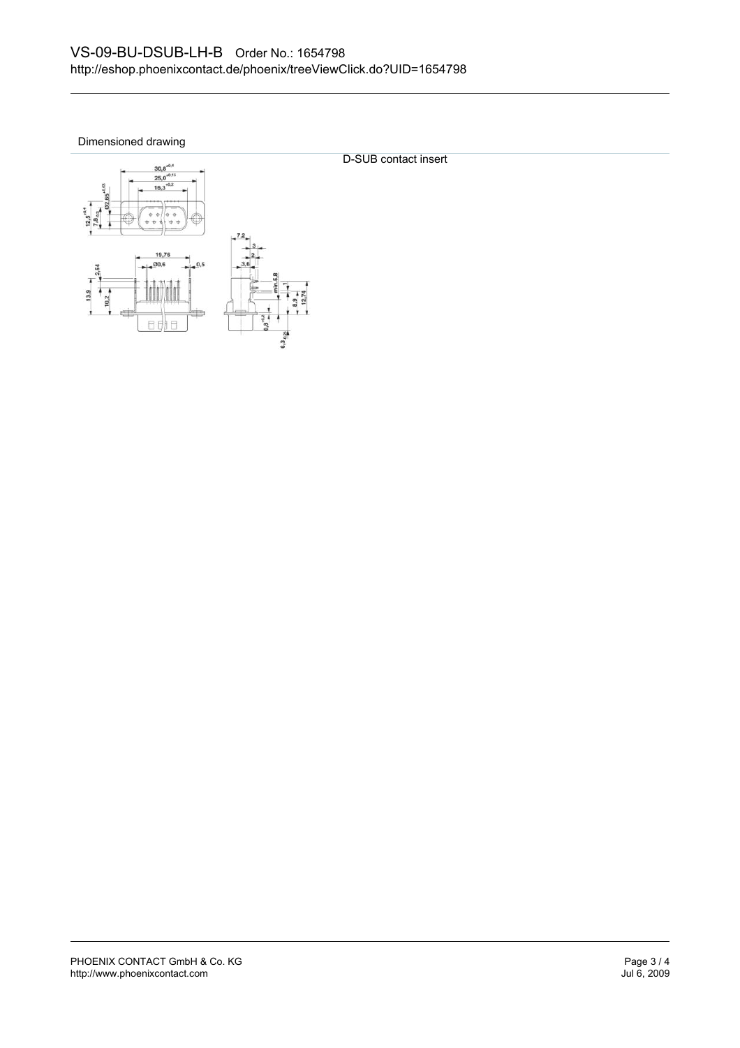Dimensioned drawing



D-SUB contact insert